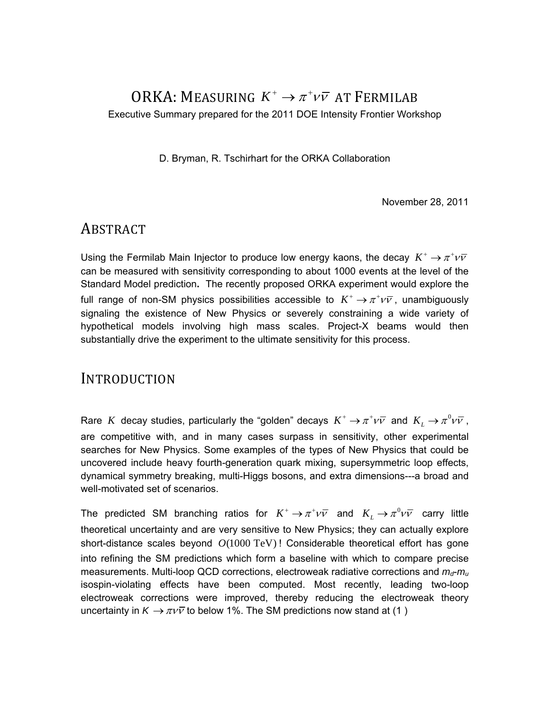### ORKA: MEASURING  $K^+ \rightarrow \pi^+ \nu \bar{\nu}$  at Fermilab Executive Summary prepared for the 2011 DOE Intensity Frontier Workshop

D. Bryman, R. Tschirhart for the ORKA Collaboration

November 28, 2011

#### ABSTRACT

Using the Fermilab Main Injector to produce low energy kaons, the decay  $K^+ \to \pi^+ \nu \bar{\nu}$ can be measured with sensitivity corresponding to about 1000 events at the level of the Standard Model prediction**.** The recently proposed ORKA experiment would explore the full range of non-SM physics possibilities accessible to  $K^+ \rightarrow \pi^+ \nu \overline{\nu}$ , unambiguously signaling the existence of New Physics or severely constraining a wide variety of hypothetical models involving high mass scales. Project-X beams would then substantially drive the experiment to the ultimate sensitivity for this process.

#### INTRODUCTION

Rare *K* decay studies, particularly the "golden" decays  $K^+ \to \pi^+ \nu \bar{\nu}$  and  $K_L \to \pi^0 \nu \bar{\nu}$ , are competitive with, and in many cases surpass in sensitivity, other experimental searches for New Physics. Some examples of the types of New Physics that could be uncovered include heavy fourth-generation quark mixing, supersymmetric loop effects, dynamical symmetry breaking, multi-Higgs bosons, and extra dimensions---a broad and well-motivated set of scenarios.

The predicted SM branching ratios for  $K^+ \to \pi^+ \nu \bar{\nu}$  and  $K_L \to \pi^0 \nu \bar{\nu}$  carry little theoretical uncertainty and are very sensitive to New Physics; they can actually explore short-distance scales beyond *O*(1000 TeV) ! Considerable theoretical effort has gone into refining the SM predictions which form a baseline with which to compare precise measurements. Multi-loop QCD corrections, electroweak radiative corrections and  $m_{\sigma}m_{\mu}$ isospin-violating effects have been computed. Most recently, leading two-loop electroweak corrections were improved, thereby reducing the electroweak theory uncertainty in  $K \to \pi \nu \bar{\nu}$  to below 1%. The SM predictions now stand at (1)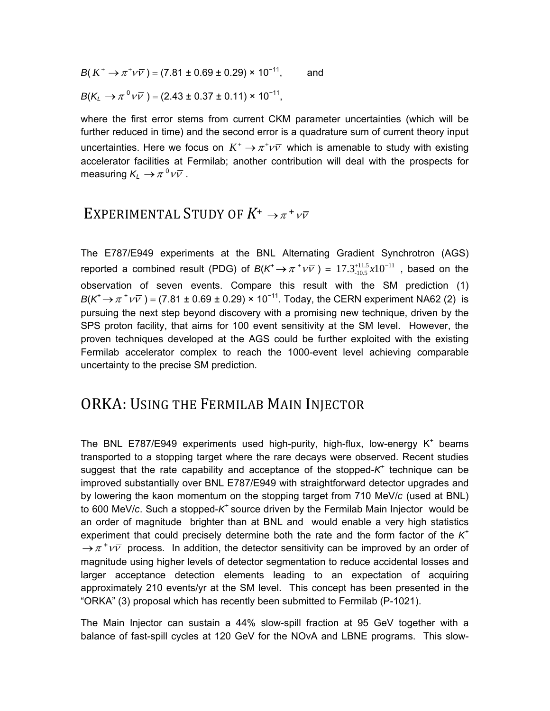$$
B(K^+ \to \pi^+ \nu \overline{\nu}) = (7.81 \pm 0.69 \pm 0.29) \times 10^{-11}, \quad \text{and}
$$

$$
B(K_L \to \pi^0 \nu \overline{\nu}) = (2.43 \pm 0.37 \pm 0.11) \times 10^{-11},
$$

where the first error stems from current CKM parameter uncertainties (which will be further reduced in time) and the second error is a quadrature sum of current theory input uncertainties. Here we focus on  $K^+ \rightarrow \pi^+ \nu \bar{\nu}$  which is amenable to study with existing accelerator facilities at Fermilab; another contribution will deal with the prospects for measuring  $K_L \rightarrow \pi^0 \nu \overline{\nu}$  .

#### EXPERIMENTAL STUDY OF  $K^+ \rightarrow \pi^+ \nu \bar{\nu}$

The E787/E949 experiments at the BNL Alternating Gradient Synchrotron (AGS) reported a combined result (PDG) of  $B(K^+\rightarrow \pi^+\nu\overline{\nu}$  ) =  $17.3^{+11.5}_{-10.5} x10^{-11}$  , based on the observation of seven events. Compare this result with the SM prediction (1)  $B(K^+ \to \pi^+ \nu \bar{\nu}) = (7.81 \pm 0.69 \pm 0.29) \times 10^{-11}$ . Today, the CERN experiment NA62 (2) is pursuing the next step beyond discovery with a promising new technique, driven by the SPS proton facility, that aims for 100 event sensitivity at the SM level. However, the proven techniques developed at the AGS could be further exploited with the existing Fermilab accelerator complex to reach the 1000-event level achieving comparable uncertainty to the precise SM prediction.

#### ORKA: USING THE FERMILAB MAIN INJECTOR

The BNL E787/E949 experiments used high-purity, high-flux, low-energy  $K^+$  beams transported to a stopping target where the rare decays were observed. Recent studies suggest that the rate capability and acceptance of the stopped-*K*<sup>+</sup> technique can be improved substantially over BNL E787/E949 with straightforward detector upgrades and by lowering the kaon momentum on the stopping target from 710 MeV/*c* (used at BNL) to 600 MeV/*c*. Such a stopped-*K*+ source driven by the Fermilab Main Injector would be an order of magnitude brighter than at BNL and would enable a very high statistics experiment that could precisely determine both the rate and the form factor of the *K+*  $\rightarrow \pi^+ \nu \bar{\nu}$  process. In addition, the detector sensitivity can be improved by an order of magnitude using higher levels of detector segmentation to reduce accidental losses and larger acceptance detection elements leading to an expectation of acquiring approximately 210 events/yr at the SM level. This concept has been presented in the "ORKA" (3) proposal which has recently been submitted to Fermilab (P-1021).

The Main Injector can sustain a 44% slow-spill fraction at 95 GeV together with a balance of fast-spill cycles at 120 GeV for the NOvA and LBNE programs. This slow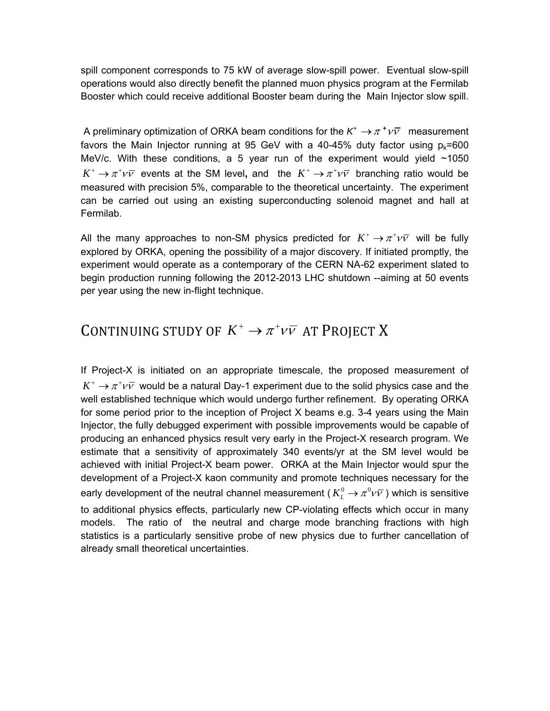spill component corresponds to 75 kW of average slow-spill power. Eventual slow-spill operations would also directly benefit the planned muon physics program at the Fermilab Booster which could receive additional Booster beam during the Main Injector slow spill.

A preliminary optimization of ORKA beam conditions for the  $K^+ \to \pi^+ \nu \bar{\nu}$  measurement favors the Main Injector running at 95 GeV with a 40-45% duty factor using  $p_k = 600$ MeV/c. With these conditions, a 5 year run of the experiment would yield  $~1050$  $K^+ \rightarrow \pi^+ \nu \bar{\nu}$  events at the SM level, and the  $K^+ \rightarrow \pi^+ \nu \bar{\nu}$  branching ratio would be measured with precision 5%, comparable to the theoretical uncertainty. The experiment can be carried out using an existing superconducting solenoid magnet and hall at Fermilab.

All the many approaches to non-SM physics predicted for  $K^+ \rightarrow \pi^+ \nu \bar{\nu}$  will be fully explored by ORKA, opening the possibility of a major discovery. If initiated promptly, the experiment would operate as a contemporary of the CERN NA-62 experiment slated to begin production running following the 2012-2013 LHC shutdown --aiming at 50 events per year using the new in-flight technique.

## CONTINUING STUDY OF  $K^+ \rightarrow \pi^+ \nu \bar{\nu}$  at Project X

If Project-X is initiated on an appropriate timescale, the proposed measurement of  $K^+ \rightarrow \pi^+ \nu \bar{\nu}$  would be a natural Day-1 experiment due to the solid physics case and the well established technique which would undergo further refinement. By operating ORKA for some period prior to the inception of Project X beams e.g. 3-4 years using the Main Injector, the fully debugged experiment with possible improvements would be capable of producing an enhanced physics result very early in the Project-X research program. We estimate that a sensitivity of approximately 340 events/yr at the SM level would be achieved with initial Project-X beam power. ORKA at the Main Injector would spur the development of a Project-X kaon community and promote techniques necessary for the early development of the neutral channel measurement ( $K^0$   $\rightarrow \pi^0\nu\bar{\nu}$ ) which is sensitive to additional physics effects, particularly new CP-violating effects which occur in many models. The ratio of the neutral and charge mode branching fractions with high statistics is a particularly sensitive probe of new physics due to further cancellation of already small theoretical uncertainties.